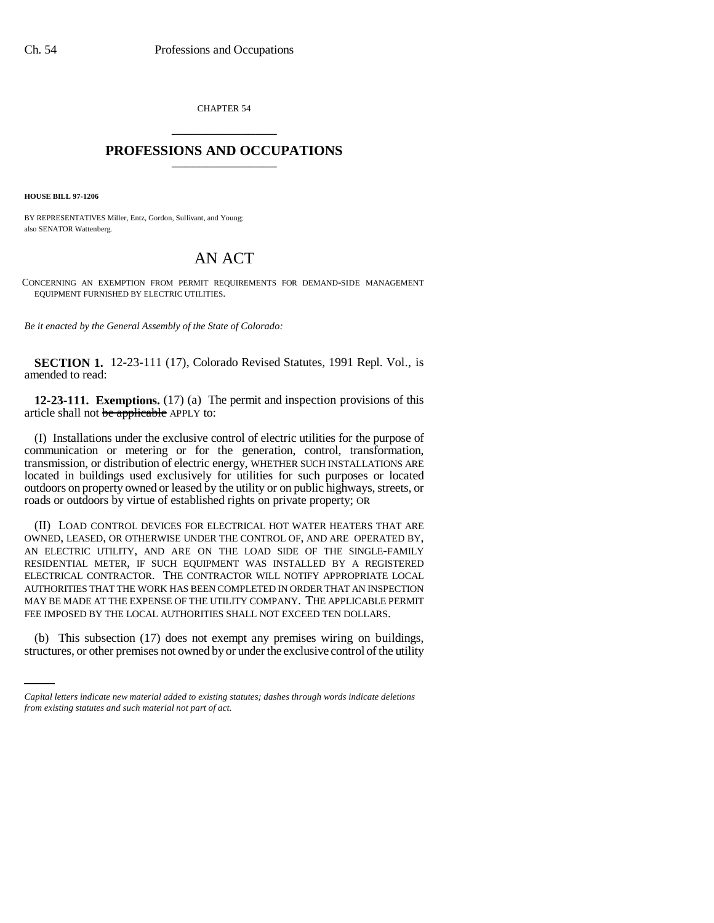CHAPTER 54 \_\_\_\_\_\_\_\_\_\_\_\_\_\_\_

## **PROFESSIONS AND OCCUPATIONS** \_\_\_\_\_\_\_\_\_\_\_\_\_\_\_

**HOUSE BILL 97-1206**

BY REPRESENTATIVES Miller, Entz, Gordon, Sullivant, and Young; also SENATOR Wattenberg.

## AN ACT

CONCERNING AN EXEMPTION FROM PERMIT REQUIREMENTS FOR DEMAND-SIDE MANAGEMENT EQUIPMENT FURNISHED BY ELECTRIC UTILITIES.

*Be it enacted by the General Assembly of the State of Colorado:*

**SECTION 1.** 12-23-111 (17), Colorado Revised Statutes, 1991 Repl. Vol., is amended to read:

**12-23-111. Exemptions.** (17) (a) The permit and inspection provisions of this article shall not be applicable APPLY to:

(I) Installations under the exclusive control of electric utilities for the purpose of communication or metering or for the generation, control, transformation, transmission, or distribution of electric energy, WHETHER SUCH INSTALLATIONS ARE located in buildings used exclusively for utilities for such purposes or located outdoors on property owned or leased by the utility or on public highways, streets, or roads or outdoors by virtue of established rights on private property; OR

(II) LOAD CONTROL DEVICES FOR ELECTRICAL HOT WATER HEATERS THAT ARE OWNED, LEASED, OR OTHERWISE UNDER THE CONTROL OF, AND ARE OPERATED BY, AN ELECTRIC UTILITY, AND ARE ON THE LOAD SIDE OF THE SINGLE-FAMILY RESIDENTIAL METER, IF SUCH EQUIPMENT WAS INSTALLED BY A REGISTERED ELECTRICAL CONTRACTOR. THE CONTRACTOR WILL NOTIFY APPROPRIATE LOCAL AUTHORITIES THAT THE WORK HAS BEEN COMPLETED IN ORDER THAT AN INSPECTION MAY BE MADE AT THE EXPENSE OF THE UTILITY COMPANY. THE APPLICABLE PERMIT FEE IMPOSED BY THE LOCAL AUTHORITIES SHALL NOT EXCEED TEN DOLLARS.

(b) This subsection (17) does not exempt any premises wiring on buildings, structures, or other premises not owned by or under the exclusive control of the utility

*Capital letters indicate new material added to existing statutes; dashes through words indicate deletions from existing statutes and such material not part of act.*